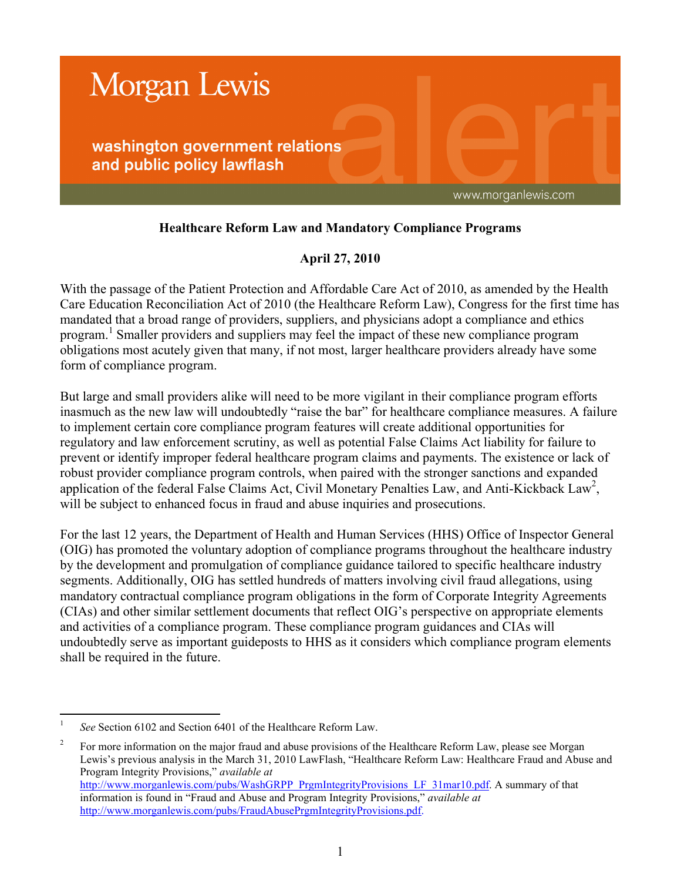

# **Healthcare Reform Law and Mandatory Compliance Programs**

## **April 27, 2010**

With the passage of the Patient Protection and Affordable Care Act of 2010, as amended by the Health Care Education Reconciliation Act of 2010 (the Healthcare Reform Law), Congress for the first time has mandated that a broad range of providers, suppliers, and physicians adopt a compliance and ethics program.<sup>1</sup> Smaller providers and suppliers may feel the impact of these new compliance program obligations most acutely given that many, if not most, larger healthcare providers already have some form of compliance program.

But large and small providers alike will need to be more vigilant in their compliance program efforts inasmuch as the new law will undoubtedly "raise the bar" for healthcare compliance measures. A failure to implement certain core compliance program features will create additional opportunities for regulatory and law enforcement scrutiny, as well as potential False Claims Act liability for failure to prevent or identify improper federal healthcare program claims and payments. The existence or lack of robust provider compliance program controls, when paired with the stronger sanctions and expanded application of the federal False Claims Act, Civil Monetary Penalties Law, and Anti-Kickback Law<sup>2</sup>, will be subject to enhanced focus in fraud and abuse inquiries and prosecutions.

For the last 12 years, the Department of Health and Human Services (HHS) Office of Inspector General (OIG) has promoted the voluntary adoption of compliance programs throughout the healthcare industry by the development and promulgation of compliance guidance tailored to specific healthcare industry segments. Additionally, OIG has settled hundreds of matters involving civil fraud allegations, using mandatory contractual compliance program obligations in the form of Corporate Integrity Agreements (CIAs) and other similar settlement documents that reflect OIG's perspective on appropriate elements and activities of a compliance program. These compliance program guidances and CIAs will undoubtedly serve as important guideposts to HHS as it considers which compliance program elements shall be required in the future.

2 For more information on the major fraud and abuse provisions of the Healthcare Reform Law, please see Morgan Lewis's previous analysis in the March 31, 2010 LawFlash, "Healthcare Reform Law: Healthcare Fraud and Abuse and Program Integrity Provisions," *available at* [http://www.morganlewis.com/pubs/WashGRPP\\_PrgmIntegrityProvisions\\_LF\\_31mar10.pdf.](http://www.morganlewis.com/pubs/WashGRPP_PrgmIntegrityProvisions_LF_31mar10.pdf) A summary of that information is found in "Fraud and Abuse and Program Integrity Provisions," *available at* [http://www.morganlewis.com/pubs/FraudAbusePrgmIntegrityProvisions.pdf.](http://www.morganlewis.com/pubs/FraudAbusePrgmIntegrityProvisions.pdf)

 $\frac{1}{1}$ *See* Section 6102 and Section 6401 of the Healthcare Reform Law.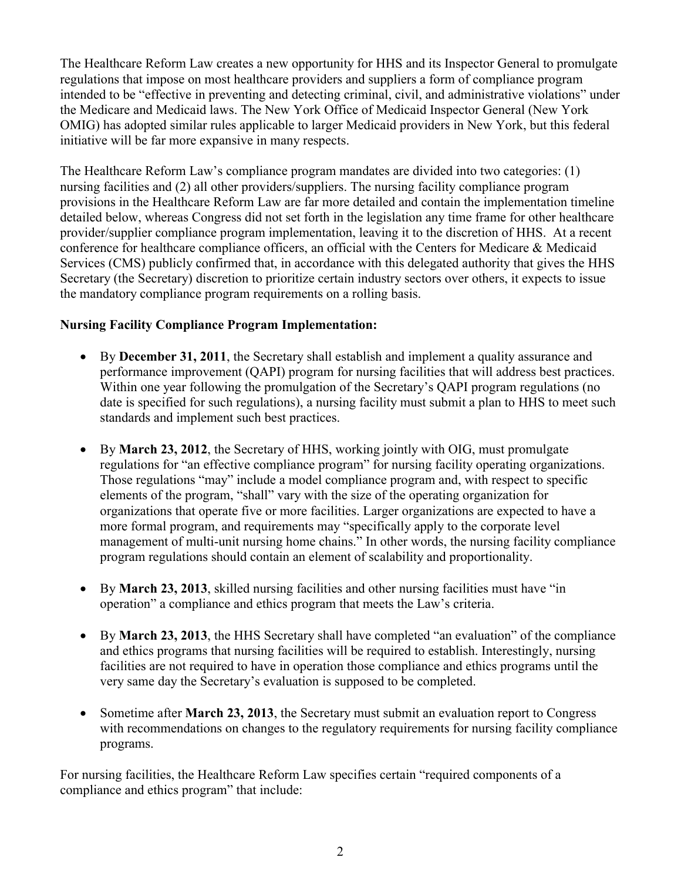The Healthcare Reform Law creates a new opportunity for HHS and its Inspector General to promulgate regulations that impose on most healthcare providers and suppliers a form of compliance program intended to be "effective in preventing and detecting criminal, civil, and administrative violations" under the Medicare and Medicaid laws. The New York Office of Medicaid Inspector General (New York OMIG) has adopted similar rules applicable to larger Medicaid providers in New York, but this federal initiative will be far more expansive in many respects.

The Healthcare Reform Law's compliance program mandates are divided into two categories: (1) nursing facilities and (2) all other providers/suppliers. The nursing facility compliance program provisions in the Healthcare Reform Law are far more detailed and contain the implementation timeline detailed below, whereas Congress did not set forth in the legislation any time frame for other healthcare provider/supplier compliance program implementation, leaving it to the discretion of HHS. At a recent conference for healthcare compliance officers, an official with the Centers for Medicare & Medicaid Services (CMS) publicly confirmed that, in accordance with this delegated authority that gives the HHS Secretary (the Secretary) discretion to prioritize certain industry sectors over others, it expects to issue the mandatory compliance program requirements on a rolling basis.

## **Nursing Facility Compliance Program Implementation:**

- By **December 31, 2011**, the Secretary shall establish and implement a quality assurance and performance improvement (QAPI) program for nursing facilities that will address best practices. Within one year following the promulgation of the Secretary's QAPI program regulations (no date is specified for such regulations), a nursing facility must submit a plan to HHS to meet such standards and implement such best practices.
- By **March 23, 2012**, the Secretary of HHS, working jointly with OIG, must promulgate regulations for "an effective compliance program" for nursing facility operating organizations. Those regulations "may" include a model compliance program and, with respect to specific elements of the program, "shall" vary with the size of the operating organization for organizations that operate five or more facilities. Larger organizations are expected to have a more formal program, and requirements may "specifically apply to the corporate level management of multi-unit nursing home chains." In other words, the nursing facility compliance program regulations should contain an element of scalability and proportionality.
- By **March 23, 2013**, skilled nursing facilities and other nursing facilities must have "in operation" a compliance and ethics program that meets the Law's criteria.
- By **March 23, 2013**, the HHS Secretary shall have completed "an evaluation" of the compliance and ethics programs that nursing facilities will be required to establish. Interestingly, nursing facilities are not required to have in operation those compliance and ethics programs until the very same day the Secretary's evaluation is supposed to be completed.
- Sometime after **March 23, 2013**, the Secretary must submit an evaluation report to Congress with recommendations on changes to the regulatory requirements for nursing facility compliance programs.

For nursing facilities, the Healthcare Reform Law specifies certain "required components of a compliance and ethics program" that include: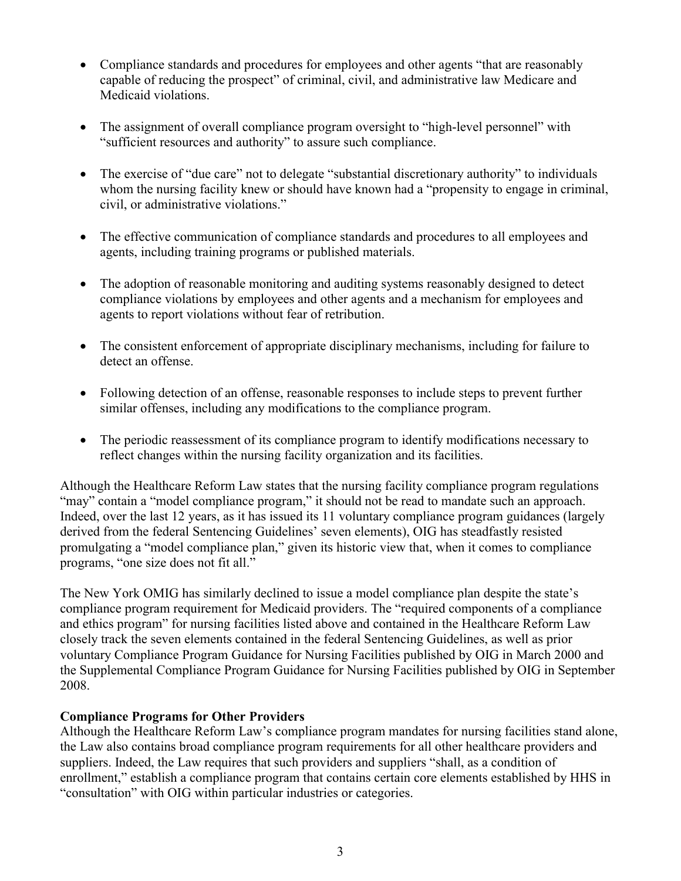- Compliance standards and procedures for employees and other agents "that are reasonably capable of reducing the prospect" of criminal, civil, and administrative law Medicare and Medicaid violations.
- The assignment of overall compliance program oversight to "high-level personnel" with "sufficient resources and authority" to assure such compliance.
- The exercise of "due care" not to delegate "substantial discretionary authority" to individuals whom the nursing facility knew or should have known had a "propensity to engage in criminal, civil, or administrative violations."
- The effective communication of compliance standards and procedures to all employees and agents, including training programs or published materials.
- The adoption of reasonable monitoring and auditing systems reasonably designed to detect compliance violations by employees and other agents and a mechanism for employees and agents to report violations without fear of retribution.
- The consistent enforcement of appropriate disciplinary mechanisms, including for failure to detect an offense.
- Following detection of an offense, reasonable responses to include steps to prevent further similar offenses, including any modifications to the compliance program.
- The periodic reassessment of its compliance program to identify modifications necessary to reflect changes within the nursing facility organization and its facilities.

Although the Healthcare Reform Law states that the nursing facility compliance program regulations "may" contain a "model compliance program," it should not be read to mandate such an approach. Indeed, over the last 12 years, as it has issued its 11 voluntary compliance program guidances (largely derived from the federal Sentencing Guidelines' seven elements), OIG has steadfastly resisted promulgating a "model compliance plan," given its historic view that, when it comes to compliance programs, "one size does not fit all."

The New York OMIG has similarly declined to issue a model compliance plan despite the state's compliance program requirement for Medicaid providers. The "required components of a compliance and ethics program" for nursing facilities listed above and contained in the Healthcare Reform Law closely track the seven elements contained in the federal Sentencing Guidelines, as well as prior voluntary Compliance Program Guidance for Nursing Facilities published by OIG in March 2000 and the Supplemental Compliance Program Guidance for Nursing Facilities published by OIG in September 2008.

## **Compliance Programs for Other Providers**

Although the Healthcare Reform Law's compliance program mandates for nursing facilities stand alone, the Law also contains broad compliance program requirements for all other healthcare providers and suppliers. Indeed, the Law requires that such providers and suppliers "shall, as a condition of enrollment," establish a compliance program that contains certain core elements established by HHS in "consultation" with OIG within particular industries or categories.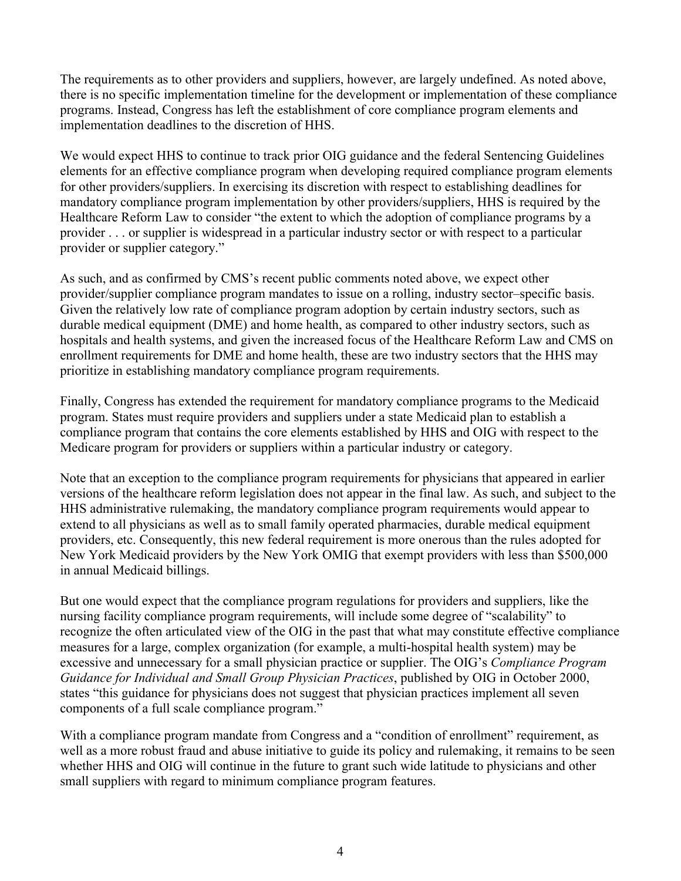The requirements as to other providers and suppliers, however, are largely undefined. As noted above, there is no specific implementation timeline for the development or implementation of these compliance programs. Instead, Congress has left the establishment of core compliance program elements and implementation deadlines to the discretion of HHS.

We would expect HHS to continue to track prior OIG guidance and the federal Sentencing Guidelines elements for an effective compliance program when developing required compliance program elements for other providers/suppliers. In exercising its discretion with respect to establishing deadlines for mandatory compliance program implementation by other providers/suppliers, HHS is required by the Healthcare Reform Law to consider "the extent to which the adoption of compliance programs by a provider . . . or supplier is widespread in a particular industry sector or with respect to a particular provider or supplier category."

As such, and as confirmed by CMS's recent public comments noted above, we expect other provider/supplier compliance program mandates to issue on a rolling, industry sector–specific basis. Given the relatively low rate of compliance program adoption by certain industry sectors, such as durable medical equipment (DME) and home health, as compared to other industry sectors, such as hospitals and health systems, and given the increased focus of the Healthcare Reform Law and CMS on enrollment requirements for DME and home health, these are two industry sectors that the HHS may prioritize in establishing mandatory compliance program requirements.

Finally, Congress has extended the requirement for mandatory compliance programs to the Medicaid program. States must require providers and suppliers under a state Medicaid plan to establish a compliance program that contains the core elements established by HHS and OIG with respect to the Medicare program for providers or suppliers within a particular industry or category.

Note that an exception to the compliance program requirements for physicians that appeared in earlier versions of the healthcare reform legislation does not appear in the final law. As such, and subject to the HHS administrative rulemaking, the mandatory compliance program requirements would appear to extend to all physicians as well as to small family operated pharmacies, durable medical equipment providers, etc. Consequently, this new federal requirement is more onerous than the rules adopted for New York Medicaid providers by the New York OMIG that exempt providers with less than \$500,000 in annual Medicaid billings.

But one would expect that the compliance program regulations for providers and suppliers, like the nursing facility compliance program requirements, will include some degree of "scalability" to recognize the often articulated view of the OIG in the past that what may constitute effective compliance measures for a large, complex organization (for example, a multi-hospital health system) may be excessive and unnecessary for a small physician practice or supplier. The OIG's *Compliance Program Guidance for Individual and Small Group Physician Practices*, published by OIG in October 2000, states "this guidance for physicians does not suggest that physician practices implement all seven components of a full scale compliance program."

With a compliance program mandate from Congress and a "condition of enrollment" requirement, as well as a more robust fraud and abuse initiative to guide its policy and rulemaking, it remains to be seen whether HHS and OIG will continue in the future to grant such wide latitude to physicians and other small suppliers with regard to minimum compliance program features.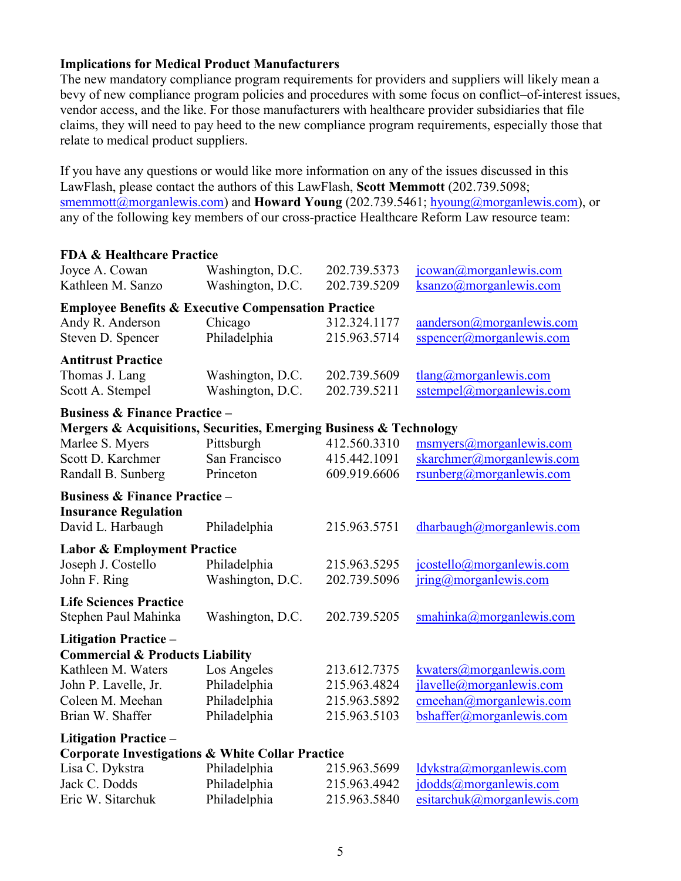### **Implications for Medical Product Manufacturers**

The new mandatory compliance program requirements for providers and suppliers will likely mean a bevy of new compliance program policies and procedures with some focus on conflict–of-interest issues, vendor access, and the like. For those manufacturers with healthcare provider subsidiaries that file claims, they will need to pay heed to the new compliance program requirements, especially those that relate to medical product suppliers.

If you have any questions or would like more information on any of the issues discussed in this LawFlash, please contact the authors of this LawFlash, **Scott Memmott** (202.739.5098; [smemmott@morganlewis.com](mailto:smemmott@morganlewis.com)) and **Howard Young** (202.739.5461; [hyoung@morganlewis.com](mailto:hyoung@morganlewis.com)), or any of the following key members of our cross-practice Healthcare Reform Law resource team:

| <b>FDA &amp; Healthcare Practice</b>                               |                                      |                              |                                                  |
|--------------------------------------------------------------------|--------------------------------------|------------------------------|--------------------------------------------------|
| Joyce A. Cowan<br>Kathleen M. Sanzo                                | Washington, D.C.<br>Washington, D.C. | 202.739.5373<br>202.739.5209 | jcowan@morganlewis.com<br>ksanzo@morganlewis.com |
| <b>Employee Benefits &amp; Executive Compensation Practice</b>     |                                      |                              |                                                  |
| Andy R. Anderson                                                   | Chicago                              | 312.324.1177                 | aanderson@morganlewis.com                        |
| Steven D. Spencer                                                  | Philadelphia                         | 215.963.5714                 | $s$ spencer@morganlewis.com                      |
| <b>Antitrust Practice</b>                                          |                                      |                              |                                                  |
| Thomas J. Lang                                                     | Washington, D.C.                     | 202.739.5609                 | $tlang(\omega)$ morganiewis.com                  |
| Scott A. Stempel                                                   | Washington, D.C.                     | 202.739.5211                 | sstempel@morganlewis.com                         |
| <b>Business &amp; Finance Practice -</b>                           |                                      |                              |                                                  |
| Mergers & Acquisitions, Securities, Emerging Business & Technology |                                      |                              |                                                  |
| Marlee S. Myers                                                    | Pittsburgh                           | 412.560.3310                 | msmyers@morganlewis.com                          |
| Scott D. Karchmer                                                  | San Francisco                        | 415.442.1091                 | skarchmer@morganlewis.com                        |
| Randall B. Sunberg                                                 | Princeton                            | 609.919.6606                 | rsunberg@morganlewis.com                         |
| <b>Business &amp; Finance Practice -</b>                           |                                      |                              |                                                  |
| <b>Insurance Regulation</b>                                        |                                      |                              |                                                  |
| David L. Harbaugh                                                  | Philadelphia                         | 215.963.5751                 | dharbaugh@morganlewis.com                        |
| <b>Labor &amp; Employment Practice</b>                             |                                      |                              |                                                  |
| Joseph J. Costello                                                 | Philadelphia                         | 215.963.5295                 | jcostello@morganlewis.com                        |
| John F. Ring                                                       | Washington, D.C.                     | 202.739.5096                 | $iring(\omega)$ morgan lewis.com                 |
| <b>Life Sciences Practice</b>                                      |                                      |                              |                                                  |
| Stephen Paul Mahinka                                               | Washington, D.C.                     | 202.739.5205                 | smahinka@morganlewis.com                         |
| <b>Litigation Practice -</b>                                       |                                      |                              |                                                  |
| <b>Commercial &amp; Products Liability</b>                         |                                      |                              |                                                  |
| Kathleen M. Waters                                                 | Los Angeles                          | 213.612.7375                 | kwaters@morganlewis.com                          |
| John P. Lavelle, Jr.                                               | Philadelphia                         | 215.963.4824                 | jlavelle@morganlewis.com                         |
| Coleen M. Meehan                                                   | Philadelphia                         | 215.963.5892                 | cmeehan@morganlewis.com                          |
| Brian W. Shaffer                                                   | Philadelphia                         | 215.963.5103                 | bshaffer@morganlewis.com                         |
| <b>Litigation Practice -</b>                                       |                                      |                              |                                                  |
| <b>Corporate Investigations &amp; White Collar Practice</b>        |                                      |                              |                                                  |
| Lisa C. Dykstra                                                    | Philadelphia                         | 215.963.5699                 | ldykstra@morganlewis.com                         |
| Jack C. Dodds                                                      | Philadelphia                         | 215.963.4942                 | jdodds@morganlewis.com                           |
| Eric W. Sitarchuk                                                  | Philadelphia                         | 215.963.5840                 | esitarchuk@morganlewis.com                       |